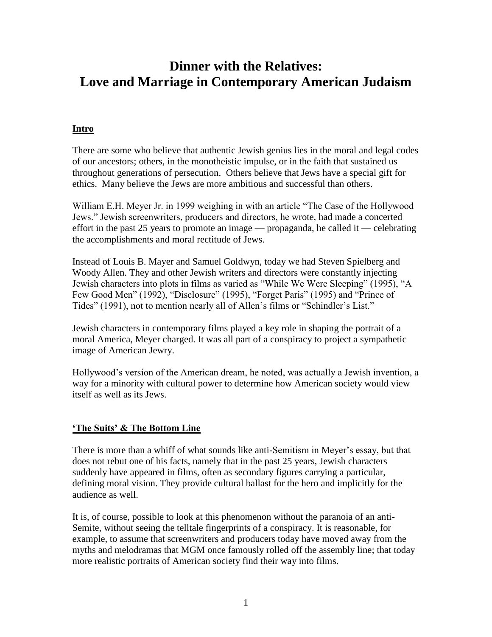# **Dinner with the Relatives: Love and Marriage in Contemporary American Judaism**

# **Intro**

There are some who believe that authentic Jewish genius lies in the moral and legal codes of our ancestors; others, in the monotheistic impulse, or in the faith that sustained us throughout generations of persecution. Others believe that Jews have a special gift for ethics. Many believe the Jews are more ambitious and successful than others.

William E.H. Meyer Jr. in 1999 weighing in with an article "The Case of the Hollywood Jews." Jewish screenwriters, producers and directors, he wrote, had made a concerted effort in the past 25 years to promote an image — propaganda, he called it — celebrating the accomplishments and moral rectitude of Jews.

Instead of Louis B. Mayer and Samuel Goldwyn, today we had Steven Spielberg and Woody Allen. They and other Jewish writers and directors were constantly injecting Jewish characters into plots in films as varied as "While We Were Sleeping" (1995), "A Few Good Men" (1992), "Disclosure" (1995), "Forget Paris" (1995) and "Prince of Tides" (1991), not to mention nearly all of Allen's films or "Schindler's List."

Jewish characters in contemporary films played a key role in shaping the portrait of a moral America, Meyer charged. It was all part of a conspiracy to project a sympathetic image of American Jewry.

Hollywood's version of the American dream, he noted, was actually a Jewish invention, a way for a minority with cultural power to determine how American society would view itself as well as its Jews.

## **'The Suits' & The Bottom Line**

There is more than a whiff of what sounds like anti-Semitism in Meyer's essay, but that does not rebut one of his facts, namely that in the past 25 years, Jewish characters suddenly have appeared in films, often as secondary figures carrying a particular, defining moral vision. They provide cultural ballast for the hero and implicitly for the audience as well.

It is, of course, possible to look at this phenomenon without the paranoia of an anti-Semite, without seeing the telltale fingerprints of a conspiracy. It is reasonable, for example, to assume that screenwriters and producers today have moved away from the myths and melodramas that MGM once famously rolled off the assembly line; that today more realistic portraits of American society find their way into films.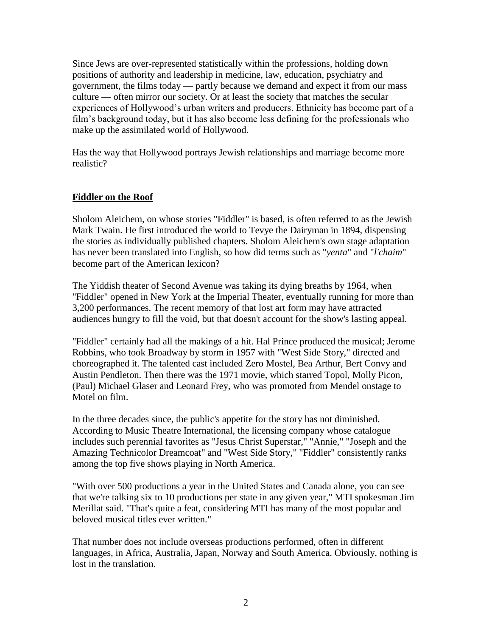Since Jews are over-represented statistically within the professions, holding down positions of authority and leadership in medicine, law, education, psychiatry and government, the films today — partly because we demand and expect it from our mass culture — often mirror our society. Or at least the society that matches the secular experiences of Hollywood's urban writers and producers. Ethnicity has become part of a film's background today, but it has also become less defining for the professionals who make up the assimilated world of Hollywood.

Has the way that Hollywood portrays Jewish relationships and marriage become more realistic?

### **Fiddler on the Roof**

Sholom Aleichem, on whose stories "Fiddler" is based, is often referred to as the Jewish Mark Twain. He first introduced the world to Tevye the Dairyman in 1894, dispensing the stories as individually published chapters. Sholom Aleichem's own stage adaptation has never been translated into English, so how did terms such as "*yenta*" and "*l'chaim*" become part of the American lexicon?

The Yiddish theater of Second Avenue was taking its dying breaths by 1964, when "Fiddler" opened in New York at the Imperial Theater, eventually running for more than 3,200 performances. The recent memory of that lost art form may have attracted audiences hungry to fill the void, but that doesn't account for the show's lasting appeal.

"Fiddler" certainly had all the makings of a hit. Hal Prince produced the musical; Jerome Robbins, who took Broadway by storm in 1957 with "West Side Story," directed and choreographed it. The talented cast included Zero Mostel, Bea Arthur, Bert Convy and Austin Pendleton. Then there was the 1971 movie, which starred Topol, Molly Picon, (Paul) Michael Glaser and Leonard Frey, who was promoted from Mendel onstage to Motel on film.

In the three decades since, the public's appetite for the story has not diminished. According to Music Theatre International, the licensing company whose catalogue includes such perennial favorites as "Jesus Christ Superstar," "Annie," "Joseph and the Amazing Technicolor Dreamcoat" and "West Side Story," "Fiddler" consistently ranks among the top five shows playing in North America.

"With over 500 productions a year in the United States and Canada alone, you can see that we're talking six to 10 productions per state in any given year," MTI spokesman Jim Merillat said. "That's quite a feat, considering MTI has many of the most popular and beloved musical titles ever written."

That number does not include overseas productions performed, often in different languages, in Africa, Australia, Japan, Norway and South America. Obviously, nothing is lost in the translation.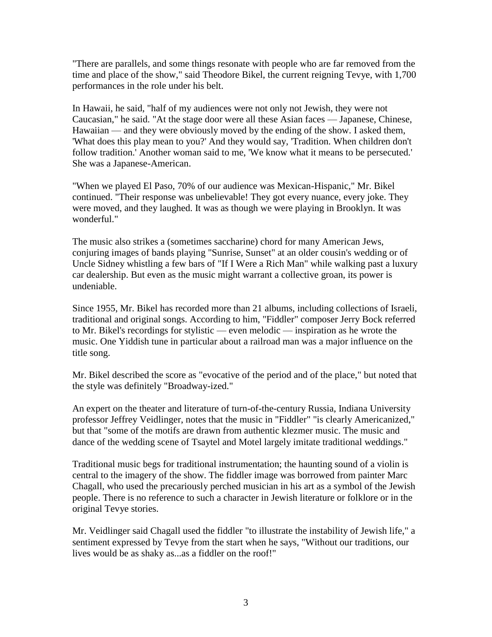"There are parallels, and some things resonate with people who are far removed from the time and place of the show," said Theodore Bikel, the current reigning Tevye, with 1,700 performances in the role under his belt.

In Hawaii, he said, "half of my audiences were not only not Jewish, they were not Caucasian," he said. "At the stage door were all these Asian faces — Japanese, Chinese, Hawaiian — and they were obviously moved by the ending of the show. I asked them, 'What does this play mean to you?' And they would say, 'Tradition. When children don't follow tradition.' Another woman said to me, 'We know what it means to be persecuted.' She was a Japanese-American.

"When we played El Paso, 70% of our audience was Mexican-Hispanic," Mr. Bikel continued. "Their response was unbelievable! They got every nuance, every joke. They were moved, and they laughed. It was as though we were playing in Brooklyn. It was wonderful."

The music also strikes a (sometimes saccharine) chord for many American Jews, conjuring images of bands playing "Sunrise, Sunset" at an older cousin's wedding or of Uncle Sidney whistling a few bars of "If I Were a Rich Man" while walking past a luxury car dealership. But even as the music might warrant a collective groan, its power is undeniable.

Since 1955, Mr. Bikel has recorded more than 21 albums, including collections of Israeli, traditional and original songs. According to him, "Fiddler" composer Jerry Bock referred to Mr. Bikel's recordings for stylistic — even melodic — inspiration as he wrote the music. One Yiddish tune in particular about a railroad man was a major influence on the title song.

Mr. Bikel described the score as "evocative of the period and of the place," but noted that the style was definitely "Broadway-ized."

An expert on the theater and literature of turn-of-the-century Russia, Indiana University professor Jeffrey Veidlinger, notes that the music in "Fiddler" "is clearly Americanized," but that "some of the motifs are drawn from authentic klezmer music. The music and dance of the wedding scene of Tsaytel and Motel largely imitate traditional weddings."

Traditional music begs for traditional instrumentation; the haunting sound of a violin is central to the imagery of the show. The fiddler image was borrowed from painter Marc Chagall, who used the precariously perched musician in his art as a symbol of the Jewish people. There is no reference to such a character in Jewish literature or folklore or in the original Tevye stories.

Mr. Veidlinger said Chagall used the fiddler "to illustrate the instability of Jewish life," a sentiment expressed by Tevye from the start when he says, "Without our traditions, our lives would be as shaky as...as a fiddler on the roof!"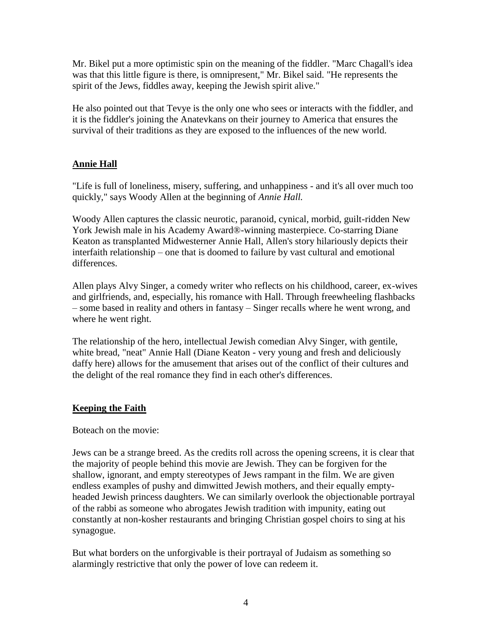Mr. Bikel put a more optimistic spin on the meaning of the fiddler. "Marc Chagall's idea was that this little figure is there, is omnipresent," Mr. Bikel said. "He represents the spirit of the Jews, fiddles away, keeping the Jewish spirit alive."

He also pointed out that Tevye is the only one who sees or interacts with the fiddler, and it is the fiddler's joining the Anatevkans on their journey to America that ensures the survival of their traditions as they are exposed to the influences of the new world.

# **Annie Hall**

"Life is full of loneliness, misery, suffering, and unhappiness - and it's all over much too quickly," says Woody Allen at the beginning of *Annie Hall.*

Woody Allen captures the classic neurotic, paranoid, cynical, morbid, guilt-ridden New York Jewish male in his Academy Award®-winning masterpiece. Co-starring Diane Keaton as transplanted Midwesterner Annie Hall, Allen's story hilariously depicts their interfaith relationship – one that is doomed to failure by vast cultural and emotional differences.

Allen plays Alvy Singer, a comedy writer who reflects on his childhood, career, ex-wives and girlfriends, and, especially, his romance with Hall. Through freewheeling flashbacks – some based in reality and others in fantasy – Singer recalls where he went wrong, and where he went right.

The relationship of the hero, intellectual Jewish comedian Alvy Singer, with gentile, white bread, "neat" Annie Hall (Diane Keaton - very young and fresh and deliciously daffy here) allows for the amusement that arises out of the conflict of their cultures and the delight of the real romance they find in each other's differences.

## **Keeping the Faith**

Boteach on the movie:

Jews can be a strange breed. As the credits roll across the opening screens, it is clear that the majority of people behind this movie are Jewish. They can be forgiven for the shallow, ignorant, and empty stereotypes of Jews rampant in the film. We are given endless examples of pushy and dimwitted Jewish mothers, and their equally emptyheaded Jewish princess daughters. We can similarly overlook the objectionable portrayal of the rabbi as someone who abrogates Jewish tradition with impunity, eating out constantly at non-kosher restaurants and bringing Christian gospel choirs to sing at his synagogue.

But what borders on the unforgivable is their portrayal of Judaism as something so alarmingly restrictive that only the power of love can redeem it.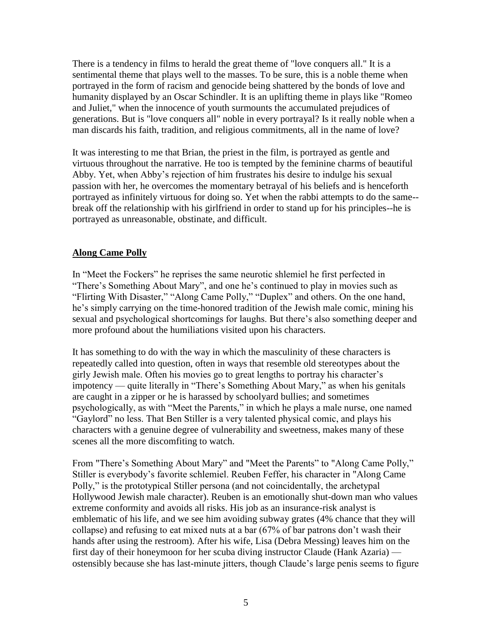There is a tendency in films to herald the great theme of "love conquers all." It is a sentimental theme that plays well to the masses. To be sure, this is a noble theme when portrayed in the form of racism and genocide being shattered by the bonds of love and humanity displayed by an Oscar Schindler. It is an uplifting theme in plays like "Romeo and Juliet," when the innocence of youth surmounts the accumulated prejudices of generations. But is "love conquers all" noble in every portrayal? Is it really noble when a man discards his faith, tradition, and religious commitments, all in the name of love?

It was interesting to me that Brian, the priest in the film, is portrayed as gentle and virtuous throughout the narrative. He too is tempted by the feminine charms of beautiful Abby. Yet, when Abby's rejection of him frustrates his desire to indulge his sexual passion with her, he overcomes the momentary betrayal of his beliefs and is henceforth portrayed as infinitely virtuous for doing so. Yet when the rabbi attempts to do the same- break off the relationship with his girlfriend in order to stand up for his principles--he is portrayed as unreasonable, obstinate, and difficult.

### **Along Came Polly**

In "Meet the Fockers" he reprises the same neurotic shlemiel he first perfected in "There's Something About Mary", and one he's continued to play in movies such as "Flirting With Disaster," "Along Came Polly," "Duplex" and others. On the one hand, he's simply carrying on the time-honored tradition of the Jewish male comic, mining his sexual and psychological shortcomings for laughs. But there's also something deeper and more profound about the humiliations visited upon his characters.

It has something to do with the way in which the masculinity of these characters is repeatedly called into question, often in ways that resemble old stereotypes about the girly Jewish male. Often his movies go to great lengths to portray his character's impotency — quite literally in "There's Something About Mary," as when his genitals are caught in a zipper or he is harassed by schoolyard bullies; and sometimes psychologically, as with "Meet the Parents," in which he plays a male nurse, one named "Gaylord" no less. That Ben Stiller is a very talented physical comic, and plays his characters with a genuine degree of vulnerability and sweetness, makes many of these scenes all the more discomfiting to watch.

From "There's Something About Mary" and "Meet the Parents" to "Along Came Polly," Stiller is everybody's favorite schlemiel. Reuben Feffer, his character in "Along Came Polly," is the prototypical Stiller persona (and not coincidentally, the archetypal Hollywood Jewish male character). Reuben is an emotionally shut-down man who values extreme conformity and avoids all risks. His job as an insurance-risk analyst is emblematic of his life, and we see him avoiding subway grates (4% chance that they will collapse) and refusing to eat mixed nuts at a bar (67% of bar patrons don't wash their hands after using the restroom). After his wife, Lisa (Debra Messing) leaves him on the first day of their honeymoon for her scuba diving instructor Claude (Hank Azaria) ostensibly because she has last-minute jitters, though Claude's large penis seems to figure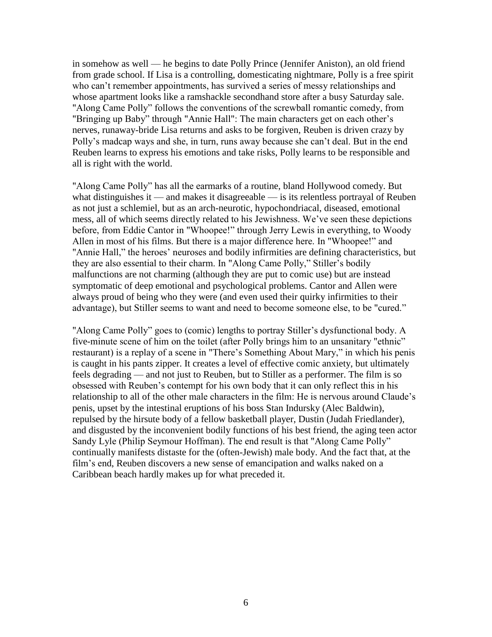in somehow as well — he begins to date Polly Prince (Jennifer Aniston), an old friend from grade school. If Lisa is a controlling, domesticating nightmare, Polly is a free spirit who can't remember appointments, has survived a series of messy relationships and whose apartment looks like a ramshackle secondhand store after a busy Saturday sale. "Along Came Polly" follows the conventions of the screwball romantic comedy, from "Bringing up Baby" through "Annie Hall": The main characters get on each other's nerves, runaway-bride Lisa returns and asks to be forgiven, Reuben is driven crazy by Polly's madcap ways and she, in turn, runs away because she can't deal. But in the end Reuben learns to express his emotions and take risks, Polly learns to be responsible and all is right with the world.

"Along Came Polly" has all the earmarks of a routine, bland Hollywood comedy. But what distinguishes it — and makes it disagreeable — is its relentless portrayal of Reuben as not just a schlemiel, but as an arch-neurotic, hypochondriacal, diseased, emotional mess, all of which seems directly related to his Jewishness. We've seen these depictions before, from Eddie Cantor in "Whoopee!" through Jerry Lewis in everything, to Woody Allen in most of his films. But there is a major difference here. In "Whoopee!" and "Annie Hall," the heroes' neuroses and bodily infirmities are defining characteristics, but they are also essential to their charm. In "Along Came Polly," Stiller's bodily malfunctions are not charming (although they are put to comic use) but are instead symptomatic of deep emotional and psychological problems. Cantor and Allen were always proud of being who they were (and even used their quirky infirmities to their advantage), but Stiller seems to want and need to become someone else, to be "cured."

"Along Came Polly" goes to (comic) lengths to portray Stiller's dysfunctional body. A five-minute scene of him on the toilet (after Polly brings him to an unsanitary "ethnic" restaurant) is a replay of a scene in "There's Something About Mary," in which his penis is caught in his pants zipper. It creates a level of effective comic anxiety, but ultimately feels degrading — and not just to Reuben, but to Stiller as a performer. The film is so obsessed with Reuben's contempt for his own body that it can only reflect this in his relationship to all of the other male characters in the film: He is nervous around Claude's penis, upset by the intestinal eruptions of his boss Stan Indursky (Alec Baldwin), repulsed by the hirsute body of a fellow basketball player, Dustin (Judah Friedlander), and disgusted by the inconvenient bodily functions of his best friend, the aging teen actor Sandy Lyle (Philip Seymour Hoffman). The end result is that "Along Came Polly" continually manifests distaste for the (often-Jewish) male body. And the fact that, at the film's end, Reuben discovers a new sense of emancipation and walks naked on a Caribbean beach hardly makes up for what preceded it.